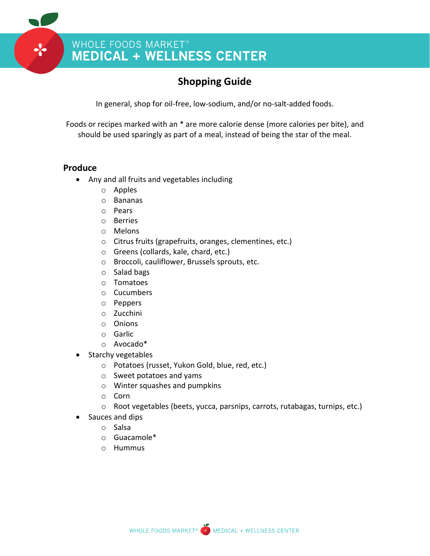## WHOLE FOODS MARKET®<br>MEDICAL + WELLNESS CENTER

### **Shopping Guide**

In general, shop for oil-free, low-sodium, and/or no-salt-added foods.

Foods or recipes marked with an \* are more calorie dense (more calories per bite), and should be used sparingly as part of a meal, instead of being the star of the meal.

### **Produce**

- Any and all fruits and vegetables including
	- o Apples
	- o Bananas
	- o Pears
	- o Berries
	- o Melons
	- o Citrus fruits (grapefruits, oranges, clementines, etc.)
	- o Greens (collards, kale, chard, etc.)
	- o Broccoli, cauliflower, Brussels sprouts, etc.
	- o Salad bags
	- o Tomatoes
	- o Cucumbers
	- o Peppers
	- o Zucchini
	- o Onions
	- o Garlic
	- o Avocado\*
- Starchy vegetables
	- o Potatoes (russet, Yukon Gold, blue, red, etc.)
	- o Sweet potatoes and yams
	- o Winter squashes and pumpkins
	- o Corn
	- o Root vegetables (beets, yucca, parsnips, carrots, rutabagas, turnips, etc.)
	- Sauces and dips
		- o Salsa
		- o Guacamole\*
		- o Hummus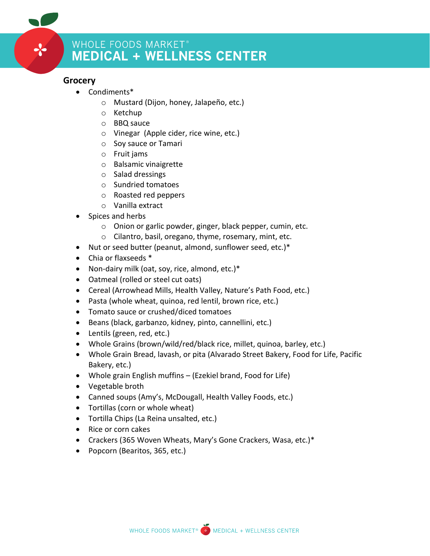### **Grocery**

- Condiments\*
	- o Mustard (Dijon, honey, Jalapeño, etc.)
	- o Ketchup
	- o BBQ sauce
	- o Vinegar (Apple cider, rice wine, etc.)
	- o Soy sauce or Tamari
	- o Fruit jams
	- o Balsamic vinaigrette
	- o Salad dressings
	- o Sundried tomatoes
	- o Roasted red peppers
	- o Vanilla extract
- Spices and herbs
	- o Onion or garlic powder, ginger, black pepper, cumin, etc.
	- o Cilantro, basil, oregano, thyme, rosemary, mint, etc.
- Nut or seed butter (peanut, almond, sunflower seed, etc.)\*
- Chia or flaxseeds \*
- Non-dairy milk (oat, soy, rice, almond, etc.)\*
- Oatmeal (rolled or steel cut oats)
- Cereal (Arrowhead Mills, Health Valley, Nature's Path Food, etc.)
- Pasta (whole wheat, quinoa, red lentil, brown rice, etc.)
- Tomato sauce or crushed/diced tomatoes
- Beans (black, garbanzo, kidney, pinto, cannellini, etc.)
- Lentils (green, red, etc.)
- Whole Grains (brown/wild/red/black rice, millet, quinoa, barley, etc.)
- Whole Grain Bread, lavash, or pita (Alvarado Street Bakery, Food for Life, Pacific Bakery, etc.)
- Whole grain English muffins (Ezekiel brand, Food for Life)
- Vegetable broth
- Canned soups (Amy's, McDougall, Health Valley Foods, etc.)
- Tortillas (corn or whole wheat)
- Tortilla Chips (La Reina unsalted, etc.)
- Rice or corn cakes
- Crackers (365 Woven Wheats, Mary's Gone Crackers, Wasa, etc.)\*
- Popcorn (Bearitos, 365, etc.)